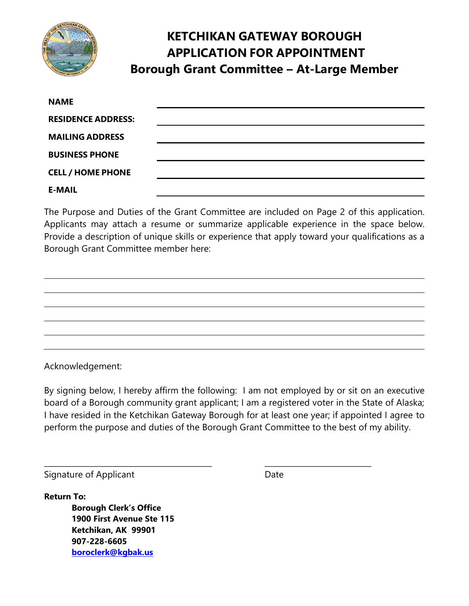

# **KETCHIKAN GATEWAY BOROUGH APPLICATION FOR APPOINTMENT Borough Grant Committee – At-Large Member**

| <b>NAME</b>               |  |
|---------------------------|--|
| <b>RESIDENCE ADDRESS:</b> |  |
| <b>MAILING ADDRESS</b>    |  |
| <b>BUSINESS PHONE</b>     |  |
| <b>CELL / HOME PHONE</b>  |  |
| <b>E-MAIL</b>             |  |

The Purpose and Duties of the Grant Committee are included on Page 2 of this application. Applicants may attach a resume or summarize applicable experience in the space below. Provide a description of unique skills or experience that apply toward your qualifications as a Borough Grant Committee member here:

Acknowledgement:

By signing below, I hereby affirm the following: I am not employed by or sit on an executive board of a Borough community grant applicant; I am a registered voter in the State of Alaska; I have resided in the Ketchikan Gateway Borough for at least one year; if appointed I agree to perform the purpose and duties of the Borough Grant Committee to the best of my ability.

\_\_\_\_\_\_\_\_\_\_\_\_\_\_\_\_\_\_\_\_\_\_\_\_\_\_\_\_\_\_\_\_\_\_\_\_\_\_\_\_\_\_\_\_ \_\_\_\_\_\_\_\_\_\_\_\_\_\_\_\_\_\_\_\_\_\_\_\_\_\_\_\_

Signature of Applicant Date

**Return To:**

**Borough Clerk's Office 1900 First Avenue Ste 115 Ketchikan, AK 99901 907-228-6605 [boroclerk@kgbak.us](mailto:boroclerk@kgbak.us)**